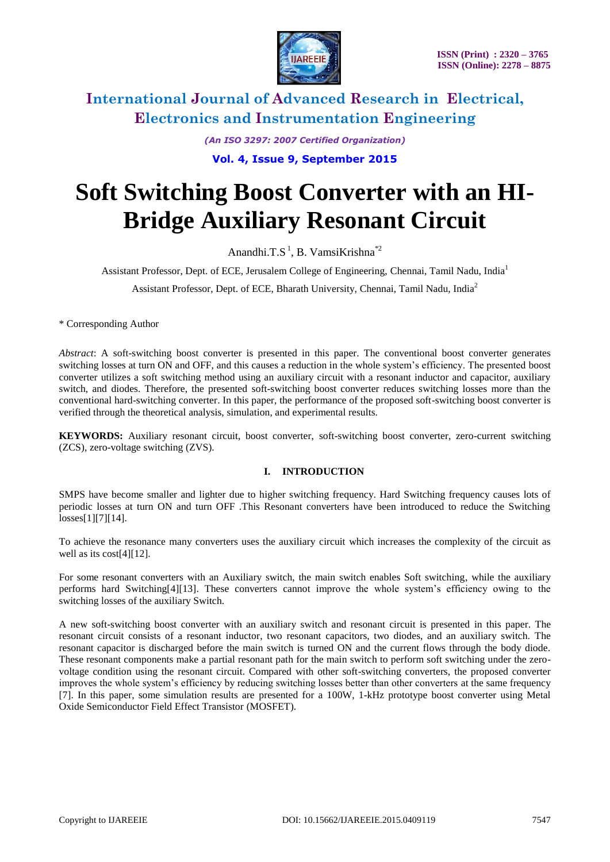

*(An ISO 3297: 2007 Certified Organization)* **Vol. 4, Issue 9, September 2015**

# **Soft Switching Boost Converter with an HI-Bridge Auxiliary Resonant Circuit**

Anandhi.T.S<sup>1</sup>, B. VamsiKrishna<sup>\*2</sup>

Assistant Professor, Dept. of ECE, Jerusalem College of Engineering, Chennai, Tamil Nadu, India<sup>1</sup>

Assistant Professor, Dept. of ECE, Bharath University, Chennai, Tamil Nadu, India<sup>2</sup>

\* Corresponding Author

*Abstract*: A soft-switching boost converter is presented in this paper. The conventional boost converter generates switching losses at turn ON and OFF, and this causes a reduction in the whole system's efficiency. The presented boost converter utilizes a soft switching method using an auxiliary circuit with a resonant inductor and capacitor, auxiliary switch, and diodes. Therefore, the presented soft-switching boost converter reduces switching losses more than the conventional hard-switching converter. In this paper, the performance of the proposed soft-switching boost converter is verified through the theoretical analysis, simulation, and experimental results.

**KEYWORDS:** Auxiliary resonant circuit, boost converter, soft-switching boost converter, zero-current switching (ZCS), zero-voltage switching (ZVS).

#### **I. INTRODUCTION**

SMPS have become smaller and lighter due to higher switching frequency. Hard Switching frequency causes lots of periodic losses at turn ON and turn OFF .This Resonant converters have been introduced to reduce the Switching losses[1][7][14].

To achieve the resonance many converters uses the auxiliary circuit which increases the complexity of the circuit as well as its cost[4][12].

For some resonant converters with an Auxiliary switch, the main switch enables Soft switching, while the auxiliary performs hard Switching[4][13]. These converters cannot improve the whole system's efficiency owing to the switching losses of the auxiliary Switch.

A new soft-switching boost converter with an auxiliary switch and resonant circuit is presented in this paper. The resonant circuit consists of a resonant inductor, two resonant capacitors, two diodes, and an auxiliary switch. The resonant capacitor is discharged before the main switch is turned ON and the current flows through the body diode. These resonant components make a partial resonant path for the main switch to perform soft switching under the zerovoltage condition using the resonant circuit. Compared with other soft-switching converters, the proposed converter improves the whole system's efficiency by reducing switching losses better than other converters at the same frequency [7]. In this paper, some simulation results are presented for a 100W, 1-kHz prototype boost converter using Metal Oxide Semiconductor Field Effect Transistor (MOSFET).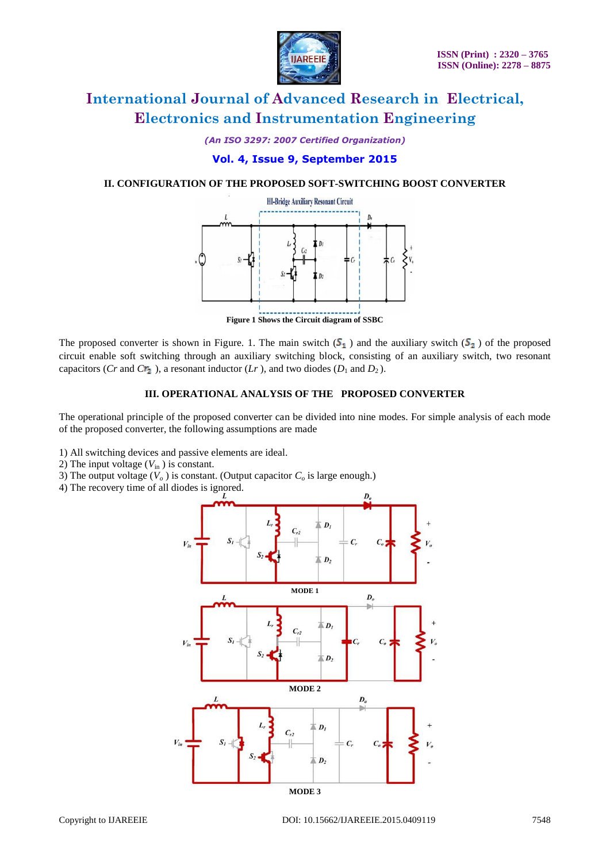

*(An ISO 3297: 2007 Certified Organization)*

#### **Vol. 4, Issue 9, September 2015**

#### **II. CONFIGURATION OF THE PROPOSED SOFT-SWITCHING BOOST CONVERTER**



**Figure 1 Shows the Circuit diagram of SSBC**

The proposed converter is shown in Figure. 1. The main switch  $(S_1)$  and the auxiliary switch  $(S_2)$  of the proposed circuit enable soft switching through an auxiliary switching block, consisting of an auxiliary switch, two resonant capacitors (*Cr* and *Cr*<sub>2</sub>), a resonant inductor (*Lr*), and two diodes ( $D_1$  and  $D_2$ ).

#### **III. OPERATIONAL ANALYSIS OF THE PROPOSED CONVERTER**

The operational principle of the proposed converter can be divided into nine modes. For simple analysis of each mode of the proposed converter, the following assumptions are made

- 1) All switching devices and passive elements are ideal.
- 2) The input voltage  $(V_{\text{in}})$  is constant.
- 3) The output voltage  $(V_o)$  is constant. (Output capacitor  $C_o$  is large enough.)
- 4) The recovery time of all diodes is ignored.

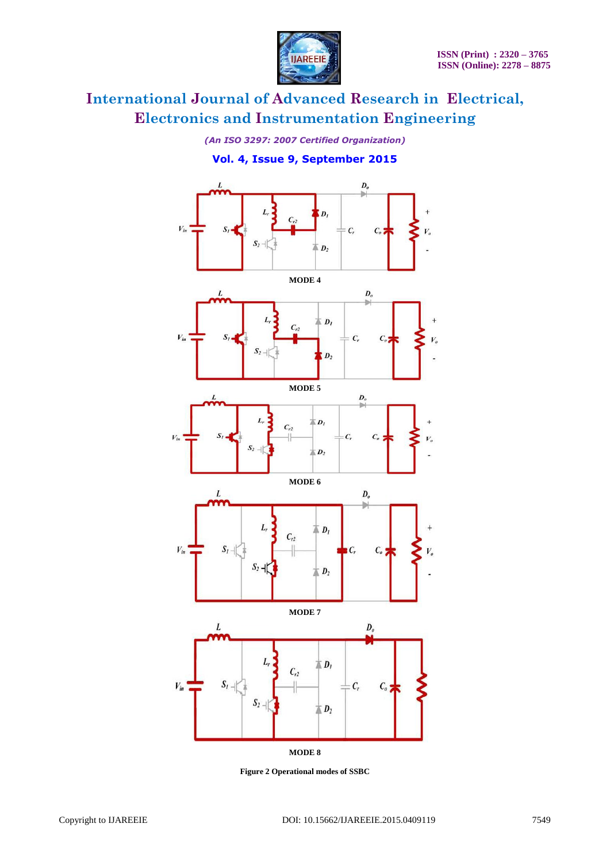

*(An ISO 3297: 2007 Certified Organization)*

### **Vol. 4, Issue 9, September 2015**



**Figure 2 Operational modes of SSBC**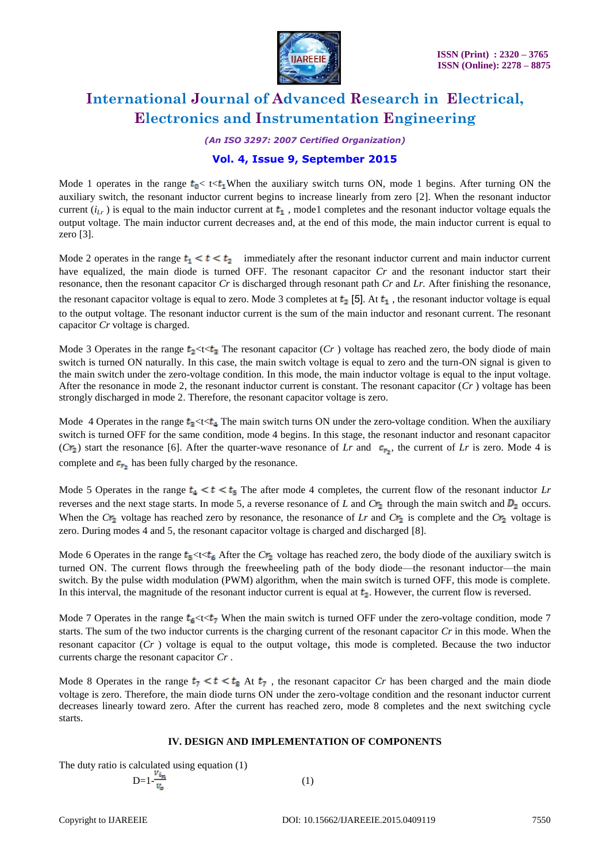

*(An ISO 3297: 2007 Certified Organization)*

### **Vol. 4, Issue 9, September 2015**

Mode 1 operates in the range  $t_0 < t < t_1$ When the auxiliary switch turns ON, mode 1 begins. After turning ON the auxiliary switch, the resonant inductor current begins to increase linearly from zero [2]. When the resonant inductor current  $(i_l)$  is equal to the main inductor current at  $t_1$ , mode1 completes and the resonant inductor voltage equals the output voltage. The main inductor current decreases and, at the end of this mode, the main inductor current is equal to zero [3].

Mode 2 operates in the range  $t_1 < t < t_2$  immediately after the resonant inductor current and main inductor current have equalized, the main diode is turned OFF. The resonant capacitor *Cr* and the resonant inductor start their resonance, then the resonant capacitor *Cr* is discharged through resonant path *Cr* and *Lr.* After finishing the resonance, the resonant capacitor voltage is equal to zero. Mode 3 completes at  $t_2$  [5]. At  $t_1$ , the resonant inductor voltage is equal to the output voltage. The resonant inductor current is the sum of the main inductor and resonant current. The resonant capacitor *Cr* voltage is charged.

Mode 3 Operates in the range  $t_2 \lt t \lt t_3$  The resonant capacitor (*Cr*) voltage has reached zero, the body diode of main switch is turned ON naturally. In this case, the main switch voltage is equal to zero and the turn-ON signal is given to the main switch under the zero-voltage condition. In this mode, the main inductor voltage is equal to the input voltage. After the resonance in mode 2, the resonant inductor current is constant. The resonant capacitor  $(Cr)$  voltage has been strongly discharged in mode 2. Therefore, the resonant capacitor voltage is zero.

Mode 4 Operates in the range  $t_3 \ll t \ll t_4$  The main switch turns ON under the zero-voltage condition. When the auxiliary switch is turned OFF for the same condition, mode 4 begins. In this stage, the resonant inductor and resonant capacitor  $(Cr_2)$  start the resonance [6]. After the quarter-wave resonance of *Lr* and  $c_{r_2}$ , the current of *Lr* is zero. Mode 4 is complete and  $c_{r_2}$  has been fully charged by the resonance.

Mode 5 Operates in the range  $t_4 < t < t_5$  The after mode 4 completes, the current flow of the resonant inductor *Lr* reverses and the next stage starts. In mode 5, a reverse resonance of *L* and  $Cr_2$  through the main switch and  $D_2$  occurs. When the  $Cr_2$  voltage has reached zero by resonance, the resonance of *Lr* and  $Cr_2$  is complete and the  $Cr_2$  voltage is zero. During modes 4 and 5, the resonant capacitor voltage is charged and discharged [8].

Mode 6 Operates in the range  $t_5 \ll t_6$  After the  $Cr_2$  voltage has reached zero, the body diode of the auxiliary switch is turned ON. The current flows through the freewheeling path of the body diode—the resonant inductor—the main switch. By the pulse width modulation (PWM) algorithm, when the main switch is turned OFF, this mode is complete. In this interval, the magnitude of the resonant inductor current is equal at  $t<sub>2</sub>$ . However, the current flow is reversed.

Mode 7 Operates in the range  $t_6 \lt t \lt t_7$  When the main switch is turned OFF under the zero-voltage condition, mode 7 starts. The sum of the two inductor currents is the charging current of the resonant capacitor *Cr* in this mode. When the resonant capacitor (*Cr* ) voltage is equal to the output voltage, this mode is completed. Because the two inductor currents charge the resonant capacitor *Cr* .

Mode 8 Operates in the range  $t_7 < t < t_8$  At  $t_7$ , the resonant capacitor *Cr* has been charged and the main diode voltage is zero. Therefore, the main diode turns ON under the zero-voltage condition and the resonant inductor current decreases linearly toward zero. After the current has reached zero, mode 8 completes and the next switching cycle starts.

#### **IV. DESIGN AND IMPLEMENTATION OF COMPONENTS**

The duty ratio is calculated using equation (1)

$$
D=1-\frac{v_{i_n}}{v_o} \tag{1}
$$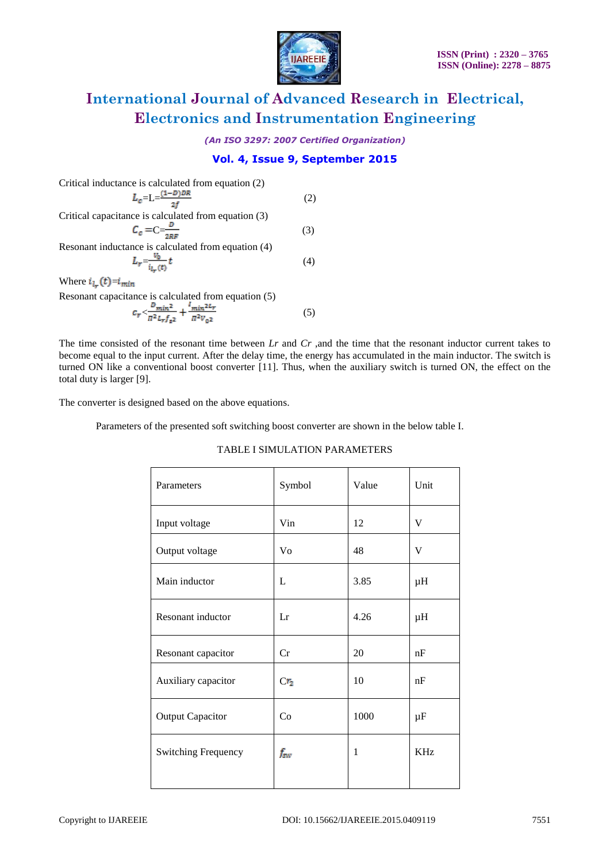

*(An ISO 3297: 2007 Certified Organization)*

### **Vol. 4, Issue 9, September 2015**

Critical inductance is calculated from equation (2)  $=L=\frac{(1-b)\pi}{c}$  (2) Critical capacitance is calculated from equation (3)  $C =$  (3) Resonant inductance is calculated from equation (4)  $=\frac{v_0}{(4)}t$  (4) Where  $i_{l_r}(t) = i_{min}$ 

Resonant capacitance is calculated from equation (5)  $\frac{m_1 n_1}{n_1 n_2 n_3} + \frac{m_1 n_1 n_2 n_1}{n_1 n_2 n_3}$  (5)

The time consisted of the resonant time between *Lr* and *Cr* ,and the time that the resonant inductor current takes to become equal to the input current. After the delay time, the energy has accumulated in the main inductor. The switch is turned ON like a conventional boost converter [11]. Thus, when the auxiliary switch is turned ON, the effect on the total duty is larger [9].

The converter is designed based on the above equations.

Parameters of the presented soft switching boost converter are shown in the below table I.

|  | TABLE I SIMULATION PARAMETERS |
|--|-------------------------------|
|--|-------------------------------|

| Parameters                 | Symbol          | Value | Unit       |
|----------------------------|-----------------|-------|------------|
| Input voltage              | Vin             | 12    | V          |
| Output voltage             | V <sub>0</sub>  | 48    | V          |
| Main inductor              | L               | 3.85  | $\mu$ H    |
| Resonant inductor          | Lr              | 4.26  | $\mu$ H    |
| Resonant capacitor         | Cr              | 20    | nF         |
| Auxiliary capacitor        | Cr <sub>2</sub> | 10    | nF         |
| <b>Output Capacitor</b>    | Co              | 1000  | $\mu$ F    |
| <b>Switching Frequency</b> | fsw             | 1     | <b>KHz</b> |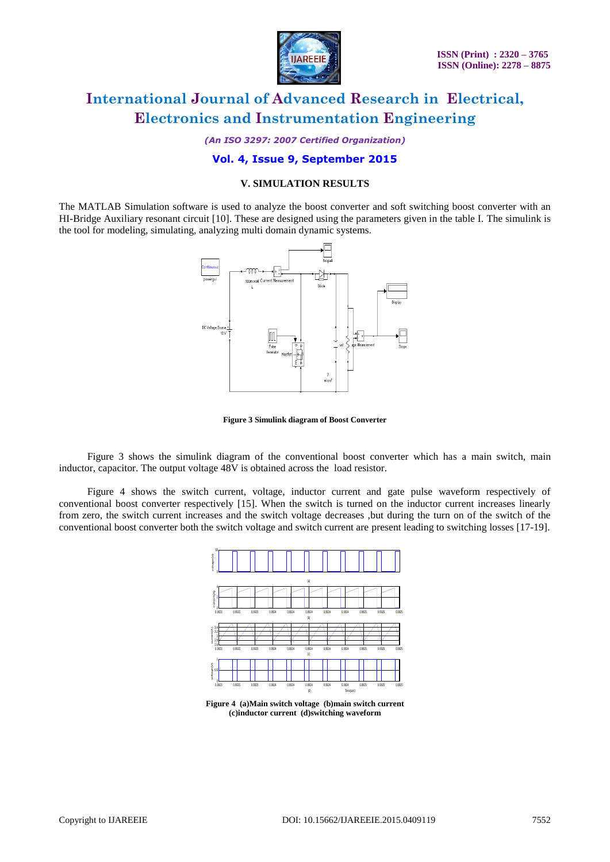

*(An ISO 3297: 2007 Certified Organization)*

#### **Vol. 4, Issue 9, September 2015**

#### **V. SIMULATION RESULTS**

The MATLAB Simulation software is used to analyze the boost converter and soft switching boost converter with an HI-Bridge Auxiliary resonant circuit [10]. These are designed using the parameters given in the table I. The simulink is the tool for modeling, simulating, analyzing multi domain dynamic systems.



**Figure 3 Simulink diagram of Boost Converter**

 Figure 3 shows the simulink diagram of the conventional boost converter which has a main switch, main inductor, capacitor. The output voltage 48V is obtained across the load resistor.

 Figure 4 shows the switch current, voltage, inductor current and gate pulse waveform respectively of conventional boost converter respectively [15]. When the switch is turned on the inductor current increases linearly from zero, the switch current increases and the switch voltage decreases ,but during the turn on of the switch of the conventional boost converter both the switch voltage and switch current are present leading to switching losses [17-19].



**Figure 4 (a)Main switch voltage (b)main switch current (c)inductor current (d)switching waveform**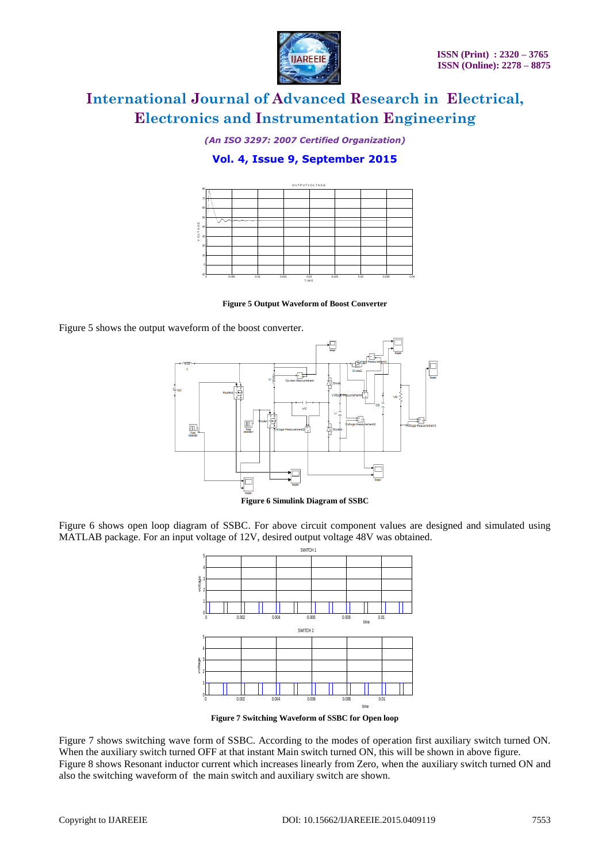

*(An ISO 3297: 2007 Certified Organization)*

### **Vol. 4, Issue 9, September 2015**



**Figure 5 Output Waveform of Boost Converter**

Figure 5 shows the output waveform of the boost converter.



Figure 6 shows open loop diagram of SSBC. For above circuit component values are designed and simulated using MATLAB package. For an input voltage of 12V, desired output voltage 48V was obtained.



**Figure 7 Switching Waveform of SSBC for Open loop**

Figure 7 shows switching wave form of SSBC. According to the modes of operation first auxiliary switch turned ON. When the auxiliary switch turned OFF at that instant Main switch turned ON, this will be shown in above figure. Figure 8 shows Resonant inductor current which increases linearly from Zero, when the auxiliary switch turned ON and also the switching waveform of the main switch and auxiliary switch are shown.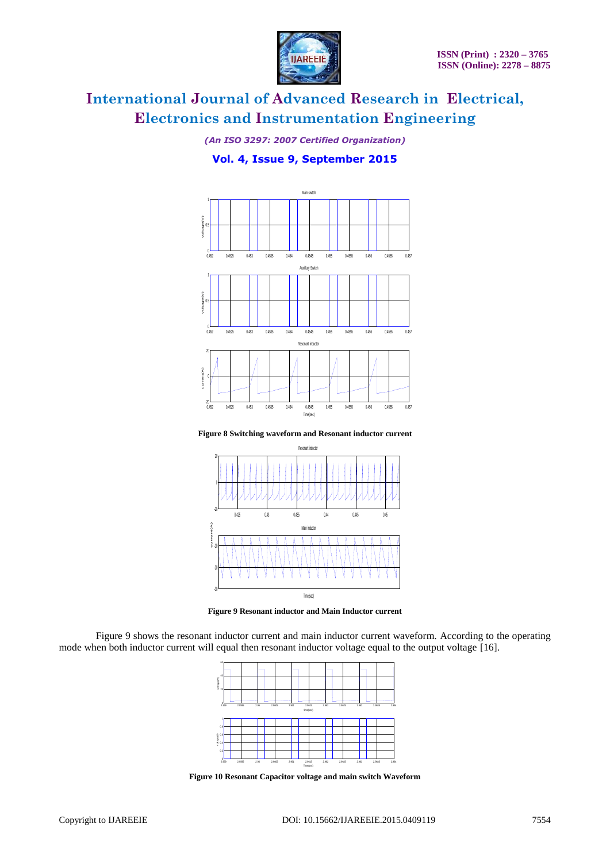

*(An ISO 3297: 2007 Certified Organization)*

### **Vol. 4, Issue 9, September 2015**



**Figure 8 Switching waveform and Resonant inductor current**



**Figure 9 Resonant inductor and Main Inductor current**

Figure 9 shows the resonant inductor current and main inductor current waveform. According to the operating mode when both inductor current will equal then resonant inductor voltage equal to the output voltage [16].



**Figure 10 Resonant Capacitor voltage and main switch Waveform**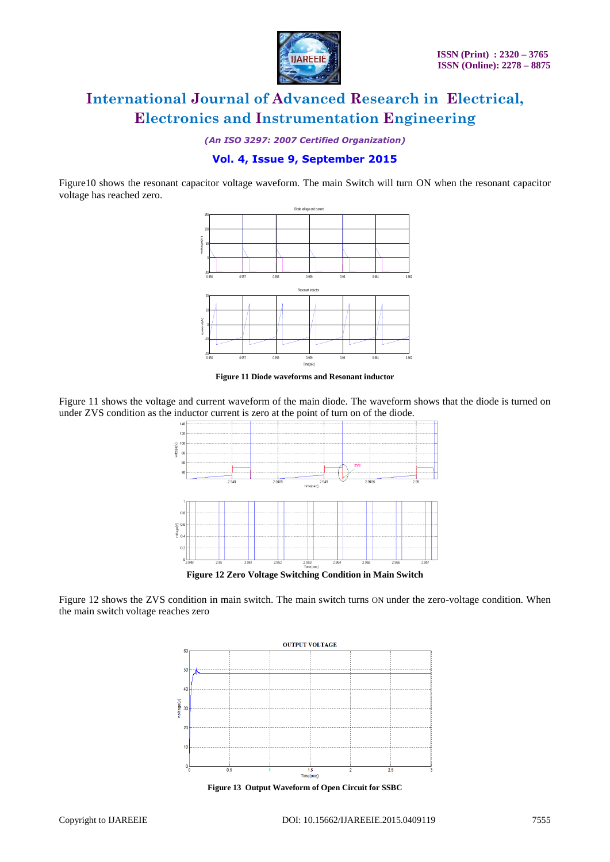

*(An ISO 3297: 2007 Certified Organization)*

### **Vol. 4, Issue 9, September 2015**

Figure10 shows the resonant capacitor voltage waveform. The main Switch will turn ON when the resonant capacitor voltage has reached zero.



**Figure 11 Diode waveforms and Resonant inductor**

Figure 11 shows the voltage and current waveform of the main diode. The waveform shows that the diode is turned on under ZVS condition as the inductor current is zero at the point of turn on of the diode.



Figure 12 shows the ZVS condition in main switch. The main switch turns ON under the zero-voltage condition. When the main switch voltage reaches zero



**Figure 13 Output Waveform of Open Circuit for SSBC**